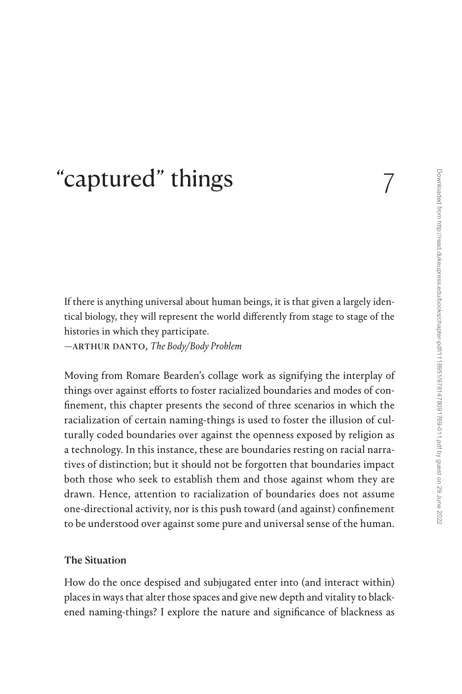# ["captured" things](#page--1-0) 7

If there is anything universal about human beings, it is that given a largely identical biology, they will represent the world differently from stage to stage of the histories in which they participate.

—arthur danto, *The Body/Body Problem*

Moving from Romare Bearden's collage work as signifying the interplay of things over against efforts to foster racialized boundaries and modes of confinement, this chapter presents the second of three scenarios in which the racialization of certain naming-things is used to foster the illusion of culturally coded boundaries over against the openness exposed by religion as a technology. In this instance, these are boundaries resting on racial narratives of distinction; but it should not be forgotten that boundaries impact both those who seek to establish them and those against whom they are drawn. Hence, attention to racialization of boundaries does not assume one-directional activity, nor is this push toward (and against) confinement to be understood over against some pure and universal sense of the human.

### The Situation

How do the once despised and subjugated enter into (and interact within) places in ways that alter those spaces and give new depth and vitality to blackened naming-things? I explore the nature and significance of blackness as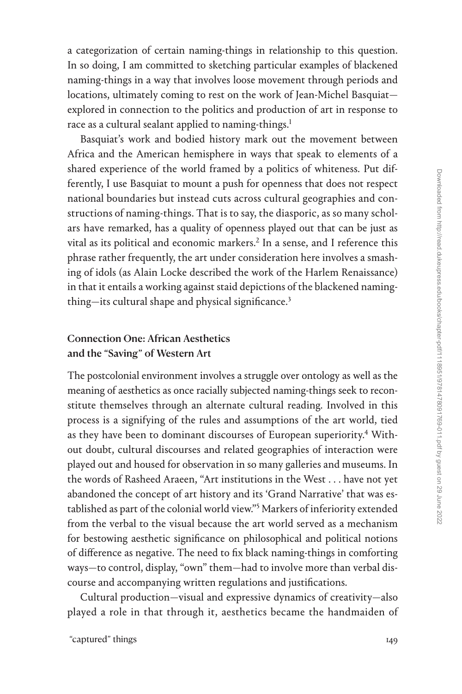a categorization of certain naming-things in relationship to this question. In so doing, I am committed to sketching particular examples of blackened naming-things in a way that involves loose movement through periods and locations, ultimately coming to rest on the work of Jean-Michel Basquiat explored in connection to the politics and production of art in response to race as a cultural sealant applied to naming-things.<sup>1</sup>

Basquiat's work and bodied history mark out the movement between Africa and the American hemisphere in ways that speak to elements of a shared experience of the world framed by a politics of whiteness. Put differently, I use Basquiat to mount a push for openness that does not respect national boundaries but instead cuts across cultural geographies and constructions of naming-things. That is to say, the diasporic, as so many scholars have remarked, has a quality of openness played out that can be just as vital as its political and economic markers.<sup>2</sup> In a sense, and I reference this phrase rather frequently, the art under consideration here involves a smashing of idols (as Alain Locke described the work of the Harlem Renaissance) in that it entails a working against staid depictions of the blackened namingthing—its cultural shape and physical significance. $3$ 

## Connection One: African Aesthetics and the "Saving" of Western Art

The postcolonial environment involves a struggle over ontology as well as the meaning of aesthetics as once racially subjected naming-things seek to reconstitute themselves through an alternate cultural reading. Involved in this process is a signifying of the rules and assumptions of the art world, tied as they have been to dominant discourses of European superiority.<sup>4</sup> Without doubt, cultural discourses and related geographies of interaction were played out and housed for observation in so many galleries and museums. In the words of Rasheed Araeen, "Art institutions in the West . . . have not yet abandoned the concept of art history and its 'Grand Narrative' that was established as part of the colonial world view."[5](#page--1-0) Markers of inferiority extended from the verbal to the visual because the art world served as a mechanism for bestowing aesthetic significance on philosophical and political notions of difference as negative. The need to fix black naming-things in comforting ways—to control, display, "own" them—had to involve more than verbal discourse and accompanying written regulations and justifications.

Cultural production—visual and expressive dynamics of creativity—also played a role in that through it, aesthetics became the handmaiden of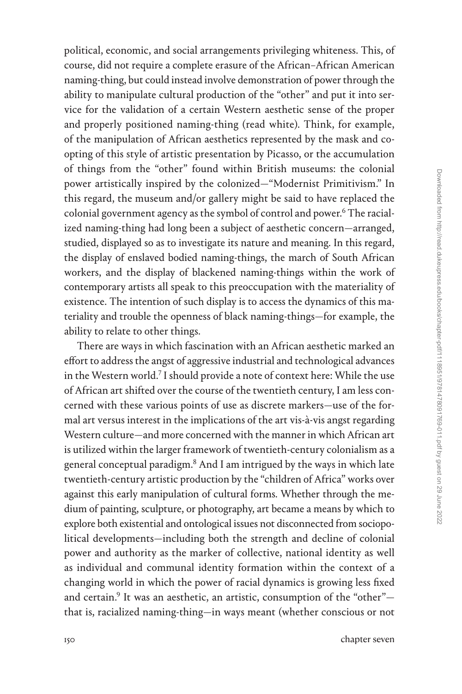political, economic, and social arrangements privileging whiteness. This, of course, did not require a complete erasure of the African–African American naming-thing, but could instead involve demonstration of power through the ability to manipulate cultural production of the "other" and put it into service for the validation of a certain Western aesthetic sense of the proper and properly positioned naming-thing (read white). Think, for example, of the manipulation of African aesthetics represented by the mask and coopting of this style of artistic presentation by Picasso, or the accumulation of things from the "other" found within British museums: the colonial power artistically inspired by the colonized—"Modernist Primitivism." In this regard, the museum and/or gallery might be said to have replaced the colonial government agency as the symbol of control and power.<sup>[6](#page--1-0)</sup> The racialized naming-thing had long been a subject of aesthetic concern—arranged, studied, displayed so as to investigate its nature and meaning. In this regard, the display of enslaved bodied naming-things, the march of South African workers, and the display of blackened naming-things within the work of contemporary artists all speak to this preoccupation with the materiality of existence. The intention of such display is to access the dynamics of this materiality and trouble the openness of black naming-things—for example, the ability to relate to other things.

There are ways in which fascination with an African aesthetic marked an effort to address the angst of aggressive industrial and technological advances in the Western world.<sup>7</sup> I should provide a note of context here: While the use of African art shifted over the course of the twentieth century, I am less concerned with these various points of use as discrete markers—use of the formal art versus interest in the implications of the art vis-à-vis angst regarding Western culture—and more concerned with the manner in which African art is utilized within the larger framework of twentieth-century colonialism as a general conceptual paradigm.[8](#page--1-0) And I am intrigued by the ways in which late twentieth-century artistic production by the "children of Africa" works over against this early manipulation of cultural forms. Whether through the medium of painting, sculpture, or photography, art became a means by which to explore both existential and ontological issues not disconnected from sociopolitical developments—including both the strength and decline of colonial power and authority as the marker of collective, national identity as well as individual and communal identity formation within the context of a changing world in which the power of racial dynamics is growing less fixed and certain.<sup>9</sup> It was an aesthetic, an artistic, consumption of the "other" $$ that is, racialized naming-thing—in ways meant (whether conscious or not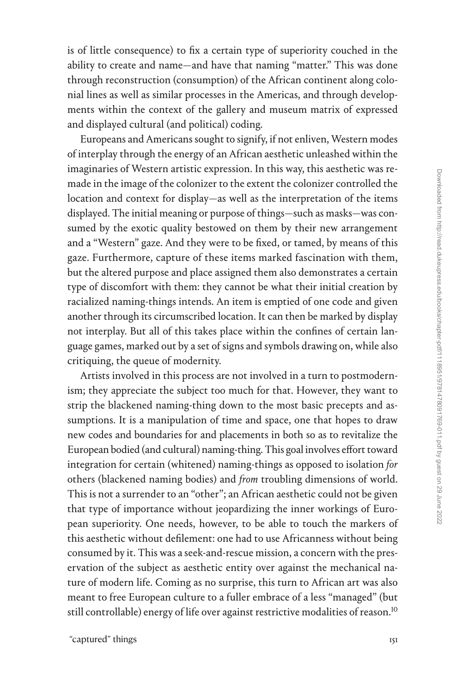is of little consequence) to fix a certain type of superiority couched in the ability to create and name—and have that naming "matter." This was done through reconstruction (consumption) of the African continent along colonial lines as well as similar processes in the Americas, and through developments within the context of the gallery and museum matrix of expressed and displayed cultural (and political) coding.

Europeans and Americans sought to signify, if not enliven, Western modes of interplay through the energy of an African aesthetic unleashed within the imaginaries of Western artistic expression. In this way, this aesthetic was remade in the image of the colonizer to the extent the colonizer controlled the location and context for display—as well as the interpretation of the items displayed. The initial meaning or purpose of things—such as masks—was consumed by the exotic quality bestowed on them by their new arrangement and a "Western" gaze. And they were to be fixed, or tamed, by means of this gaze. Furthermore, capture of these items marked fascination with them, but the altered purpose and place assigned them also demonstrates a certain type of discomfort with them: they cannot be what their initial creation by racialized naming-things intends. An item is emptied of one code and given another through its circumscribed location. It can then be marked by display not interplay. But all of this takes place within the confines of certain language games, marked out by a set of signs and symbols drawing on, while also critiquing, the queue of modernity.

Artists involved in this process are not involved in a turn to postmodernism; they appreciate the subject too much for that. However, they want to strip the blackened naming-thing down to the most basic precepts and assumptions. It is a manipulation of time and space, one that hopes to draw new codes and boundaries for and placements in both so as to revitalize the European bodied (and cultural) naming-thing. This goal involves effort toward integration for certain (whitened) naming-things as opposed to isolation *for* others (blackened naming bodies) and *from* troubling dimensions of world. This is not a surrender to an "other"; an African aesthetic could not be given that type of importance without jeopardizing the inner workings of European superiority. One needs, however, to be able to touch the markers of this aesthetic without defilement: one had to use Africanness without being consumed by it. This was a seek-and-rescue mission, a concern with the preservation of the subject as aesthetic entity over against the mechanical nature of modern life. Coming as no surprise, this turn to African art was also meant to free European culture to a fuller embrace of a less "managed" (but still controllable) energy of life over against restrictive modalities of reason.<sup>[10](#page--1-0)</sup>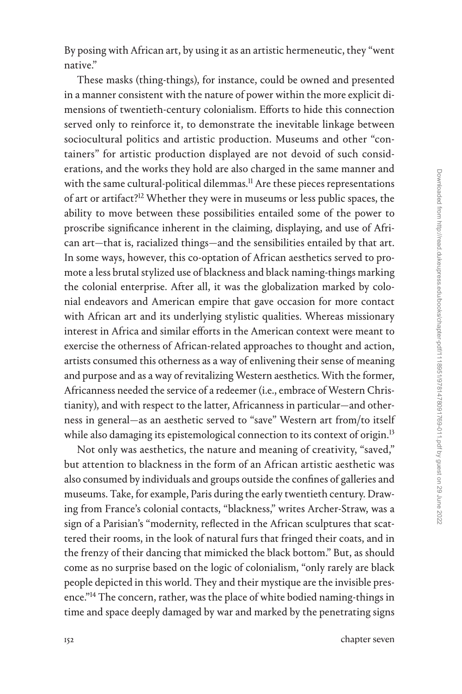By posing with African art, by using it as an artistic hermeneutic, they "went native."

These masks (thing-things), for instance, could be owned and presented in a manner consistent with the nature of power within the more explicit dimensions of twentieth-century colonialism. Efforts to hide this connection served only to reinforce it, to demonstrate the inevitable linkage between sociocultural politics and artistic production. Museums and other "containers" for artistic production displayed are not devoid of such considerations, and the works they hold are also charged in the same manner and with the same cultural-political dilemmas.<sup>11</sup> Are these pieces representations of art or artifact[?12](#page--1-0) Whether they were in museums or less public spaces, the ability to move between these possibilities entailed some of the power to proscribe significance inherent in the claiming, displaying, and use of African art—that is, racialized things—and the sensibilities entailed by that art. In some ways, however, this co-optation of African aesthetics served to promote a less brutal stylized use of blackness and black naming-things marking the colonial enterprise. After all, it was the globalization marked by colonial endeavors and American empire that gave occasion for more contact with African art and its underlying stylistic qualities. Whereas missionary interest in Africa and similar efforts in the American context were meant to exercise the otherness of African-related approaches to thought and action, artists consumed this otherness as a way of enlivening their sense of meaning and purpose and as a way of revitalizing Western aesthetics. With the former, Africanness needed the service of a redeemer (i.e., embrace of Western Christianity), and with respect to the latter, Africanness in particular—and otherness in general—as an aesthetic served to "save" Western art from/to itself while also damaging its epistemological connection to its context of origin.<sup>[13](#page--1-0)</sup>

Not only was aesthetics, the nature and meaning of creativity, "saved," but attention to blackness in the form of an African artistic aesthetic was also consumed by individuals and groups outside the confines of galleries and museums. Take, for example, Paris during the early twentieth century. Drawing from France's colonial contacts, "blackness," writes Archer-Straw, was a sign of a Parisian's "modernity, reflected in the African sculptures that scattered their rooms, in the look of natural furs that fringed their coats, and in the frenzy of their dancing that mimicked the black bottom." But, as should come as no surprise based on the logic of colonialism, "only rarely are black people depicted in this world. They and their mystique are the invisible presence."[14](#page--1-0) The concern, rather, was the place of white bodied naming-things in time and space deeply damaged by war and marked by the penetrating signs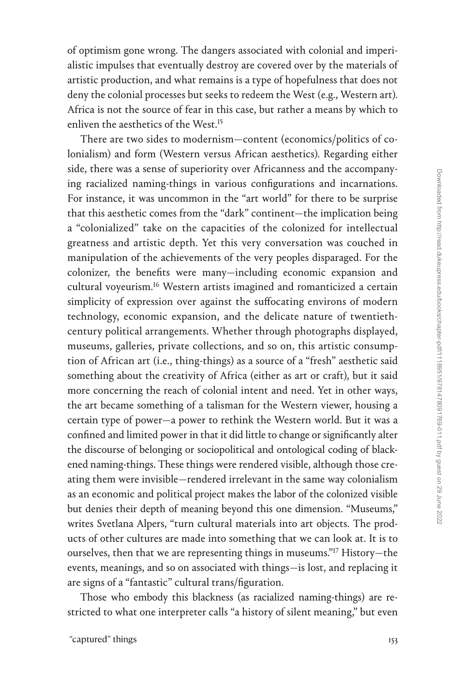of optimism gone wrong. The dangers associated with colonial and imperialistic impulses that eventually destroy are covered over by the materials of artistic production, and what remains is a type of hopefulness that does not deny the colonial processes but seeks to redeem the West (e.g., Western art). Africa is not the source of fear in this case, but rather a means by which to enliven the aesthetics of the West[.15](#page--1-0)

There are two sides to modernism—content (economics/politics of colonialism) and form (Western versus African aesthetics). Regarding either side, there was a sense of superiority over Africanness and the accompanying racialized naming-things in various configurations and incarnations. For instance, it was uncommon in the "art world" for there to be surprise that this aesthetic comes from the "dark" continent—the implication being a "colonialized" take on the capacities of the colonized for intellectual greatness and artistic depth. Yet this very conversation was couched in manipulation of the achievements of the very peoples disparaged. For the colonizer, the benefits were many—including economic expansion and cultural voyeurism.<sup>16</sup> Western artists imagined and romanticized a certain simplicity of expression over against the suffocating environs of modern technology, economic expansion, and the delicate nature of twentiethcentury political arrangements. Whether through photographs displayed, museums, galleries, private collections, and so on, this artistic consumption of African art (i.e., thing-things) as a source of a "fresh" aesthetic said something about the creativity of Africa (either as art or craft), but it said more concerning the reach of colonial intent and need. Yet in other ways, the art became something of a talisman for the Western viewer, housing a certain type of power—a power to rethink the Western world. But it was a confined and limited power in that it did little to change or significantly alter the discourse of belonging or sociopolitical and ontological coding of blackened naming-things. These things were rendered visible, although those creating them were invisible—rendered irrelevant in the same way colonialism as an economic and political project makes the labor of the colonized visible but denies their depth of meaning beyond this one dimension. "Museums," writes Svetlana Alpers, "turn cultural materials into art objects. The products of other cultures are made into something that we can look at. It is to ourselves, then that we are representing things in museums.["17](#page--1-0) History—the events, meanings, and so on associated with things—is lost, and replacing it are signs of a "fantastic" cultural trans/figuration.

Those who embody this blackness (as racialized naming-things) are restricted to what one interpreter calls "a history of silent meaning," but even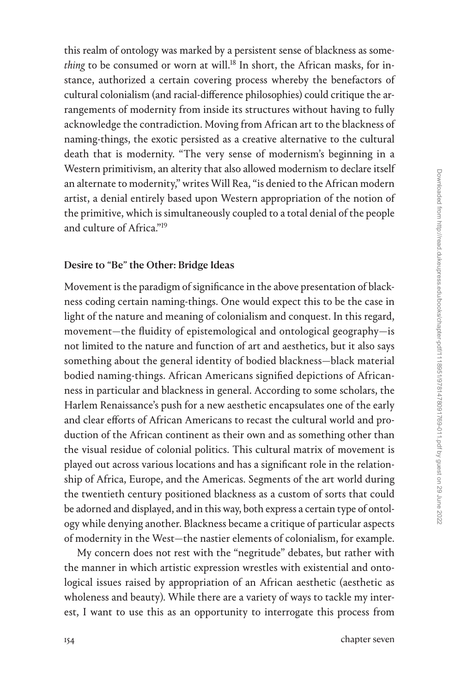this realm of ontology was marked by a persistent sense of blackness as some*thing* to be consumed or worn at will.<sup>18</sup> In short, the African masks, for instance, authorized a certain covering process whereby the benefactors of cultural colonialism (and racial-difference philosophies) could critique the arrangements of modernity from inside its structures without having to fully acknowledge the contradiction. Moving from African art to the blackness of naming-things, the exotic persisted as a creative alternative to the cultural death that is modernity. "The very sense of modernism's beginning in a Western primitivism, an alterity that also allowed modernism to declare itself an alternate to modernity," writes Will Rea, "is denied to the African modern artist, a denial entirely based upon Western appropriation of the notion of the primitive, which is simultaneously coupled to a total denial of the people and culture of Africa."[19](#page--1-0)

#### Desire to "Be" the Other: Bridge Ideas

Movement is the paradigm of significance in the above presentation of blackness coding certain naming-things. One would expect this to be the case in light of the nature and meaning of colonialism and conquest. In this regard, movement—the fluidity of epistemological and ontological geography—is not limited to the nature and function of art and aesthetics, but it also says something about the general identity of bodied blackness—black material bodied naming-things. African Americans signified depictions of Africanness in particular and blackness in general. According to some scholars, the Harlem Renaissance's push for a new aesthetic encapsulates one of the early and clear efforts of African Americans to recast the cultural world and production of the African continent as their own and as something other than the visual residue of colonial politics. This cultural matrix of movement is played out across various locations and has a significant role in the relationship of Africa, Europe, and the Americas. Segments of the art world during the twentieth century positioned blackness as a custom of sorts that could be adorned and displayed, and in this way, both express a certain type of ontology while denying another. Blackness became a critique of particular aspects of modernity in the West—the nastier elements of colonialism, for example.

My concern does not rest with the "negritude" debates, but rather with the manner in which artistic expression wrestles with existential and ontological issues raised by appropriation of an African aesthetic (aesthetic as wholeness and beauty). While there are a variety of ways to tackle my interest, I want to use this as an opportunity to interrogate this process from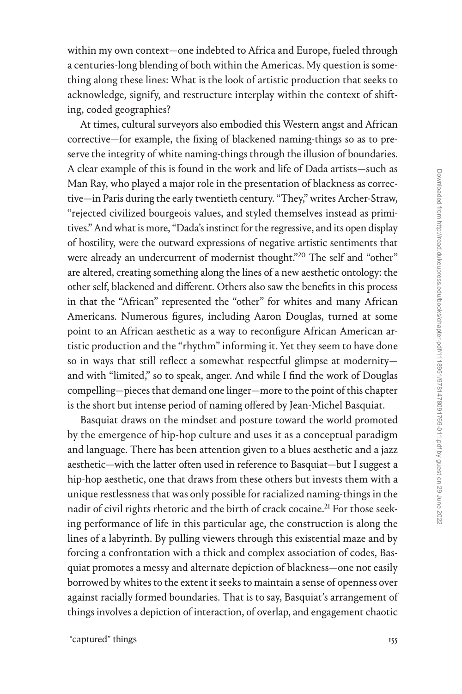within my own context—one indebted to Africa and Europe, fueled through a centuries-long blending of both within the Americas. My question is something along these lines: What is the look of artistic production that seeks to acknowledge, signify, and restructure interplay within the context of shifting, coded geographies?

At times, cultural surveyors also embodied this Western angst and African corrective—for example, the fixing of blackened naming-things so as to preserve the integrity of white naming-things through the illusion of boundaries. A clear example of this is found in the work and life of Dada artists—such as Man Ray, who played a major role in the presentation of blackness as corrective—in Paris during the early twentieth century. "They," writes Archer-Straw, "rejected civilized bourgeois values, and styled themselves instead as primitives." And what is more, "Dada's instinct for the regressive, and its open display of hostility, were the outward expressions of negative artistic sentiments that were already an undercurrent of modernist thought."<sup>20</sup> The self and "other" are altered, creating something along the lines of a new aesthetic ontology: the other self, blackened and different. Others also saw the benefits in this process in that the "African" represented the "other" for whites and many African Americans. Numerous figures, including Aaron Douglas, turned at some point to an African aesthetic as a way to reconfigure African American artistic production and the "rhythm" informing it. Yet they seem to have done so in ways that still reflect a somewhat respectful glimpse at modernity and with "limited," so to speak, anger. And while I find the work of Douglas compelling—pieces that demand one linger—more to the point of this chapter is the short but intense period of naming offered by Jean-Michel Basquiat.

Basquiat draws on the mindset and posture toward the world promoted by the emergence of hip-hop culture and uses it as a conceptual paradigm and language. There has been attention given to a blues aesthetic and a jazz aesthetic—with the latter often used in reference to Basquiat—but I suggest a hip-hop aesthetic, one that draws from these others but invests them with a unique restlessness that was only possible for racialized naming-things in the nadir of civil rights rhetoric and the birth of crack cocaine.<sup>21</sup> For those seeking performance of life in this particular age, the construction is along the lines of a labyrinth. By pulling viewers through this existential maze and by forcing a confrontation with a thick and complex association of codes, Basquiat promotes a messy and alternate depiction of blackness—one not easily borrowed by whites to the extent it seeks to maintain a sense of openness over against racially formed boundaries. That is to say, Basquiat's arrangement of things involves a depiction of interaction, of overlap, and engagement chaotic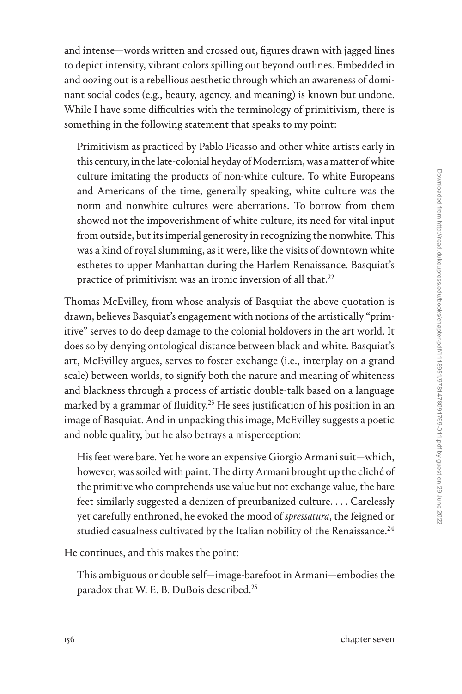and intense—words written and crossed out, figures drawn with jagged lines to depict intensity, vibrant colors spilling out beyond outlines. Embedded in and oozing out is a rebellious aesthetic through which an awareness of dominant social codes (e.g., beauty, agency, and meaning) is known but undone. While I have some difficulties with the terminology of primitivism, there is something in the following statement that speaks to my point:

Primitivism as practiced by Pablo Picasso and other white artists early in this century, in the late-colonial heyday of Modernism, was a matter of white culture imitating the products of non-white culture. To white Europeans and Americans of the time, generally speaking, white culture was the norm and nonwhite cultures were aberrations. To borrow from them showed not the impoverishment of white culture, its need for vital input from outside, but its imperial generosity in recognizing the nonwhite. This was a kind of royal slumming, as it were, like the visits of downtown white esthetes to upper Manhattan during the Harlem Renaissance. Basquiat's practice of primitivism was an ironic inversion of all that. $22$ 

Thomas McEvilley, from whose analysis of Basquiat the above quotation is drawn, believes Basquiat's engagement with notions of the artistically "primitive" serves to do deep damage to the colonial holdovers in the art world. It does so by denying ontological distance between black and white. Basquiat's art, McEvilley argues, serves to foster exchange (i.e., interplay on a grand scale) between worlds, to signify both the nature and meaning of whiteness and blackness through a process of artistic double-talk based on a language marked by a grammar of fluidity.<sup>23</sup> He sees justification of his position in an image of Basquiat. And in unpacking this image, McEvilley suggests a poetic and noble quality, but he also betrays a misperception:

His feet were bare. Yet he wore an expensive Giorgio Armani suit—which, however, was soiled with paint. The dirty Armani brought up the cliché of the primitive who comprehends use value but not exchange value, the bare feet similarly suggested a denizen of preurbanized culture. . . . Carelessly yet carefully enthroned, he evoked the mood of *spressatura*, the feigned or studied casualness cultivated by the Italian nobility of the Renaissance.<sup>24</sup>

He continues, and this makes the point:

This ambiguous or double self—image-barefoot in Armani—embodies the paradox that W. E. B. DuBois described.[25](#page--1-0)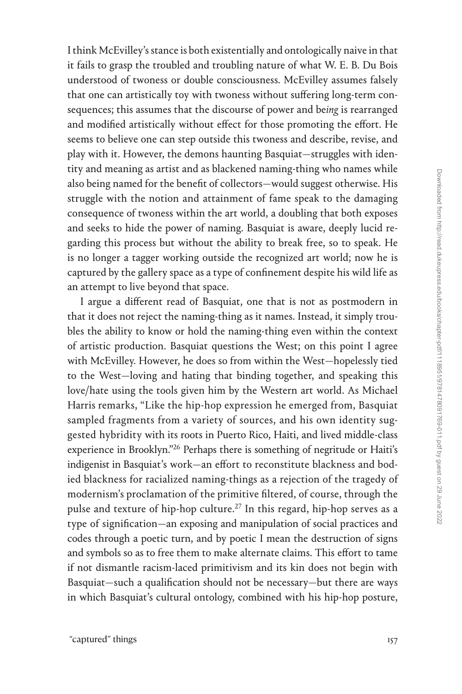I think McEvilley's stance is both existentially and ontologically naive in that it fails to grasp the troubled and troubling nature of what W. E. B. Du Bois understood of twoness or double consciousness. McEvilley assumes falsely that one can artistically toy with twoness without suffering long-term consequences; this assumes that the discourse of power and be*ing* is rearranged and modified artistically without effect for those promoting the effort. He seems to believe one can step outside this twoness and describe, revise, and play with it. However, the demons haunting Basquiat—struggles with identity and meaning as artist and as blackened naming-thing who names while also being named for the benefit of collectors—would suggest otherwise. His struggle with the notion and attainment of fame speak to the damaging consequence of twoness within the art world, a doubling that both exposes and seeks to hide the power of naming. Basquiat is aware, deeply lucid regarding this process but without the ability to break free, so to speak. He is no longer a tagger working outside the recognized art world; now he is captured by the gallery space as a type of confinement despite his wild life as an attempt to live beyond that space.

I argue a different read of Basquiat, one that is not as postmodern in that it does not reject the naming-thing as it names. Instead, it simply troubles the ability to know or hold the naming-thing even within the context of artistic production. Basquiat questions the West; on this point I agree with McEvilley. However, he does so from within the West—hopelessly tied to the West—loving and hating that binding together, and speaking this love/hate using the tools given him by the Western art world. As Michael Harris remarks, "Like the hip-hop expression he emerged from, Basquiat sampled fragments from a variety of sources, and his own identity suggested hybridity with its roots in Puerto Rico, Haiti, and lived middle-class experience in Brooklyn.["26](#page--1-0) Perhaps there is something of negritude or Haiti's indigenist in Basquiat's work—an effort to reconstitute blackness and bodied blackness for racialized naming-things as a rejection of the tragedy of modernism's proclamation of the primitive filtered, of course, through the pulse and texture of hip-hop culture.<sup>27</sup> In this regard, hip-hop serves as a type of signification—an exposing and manipulation of social practices and codes through a poetic turn, and by poetic I mean the destruction of signs and symbols so as to free them to make alternate claims. This effort to tame if not dismantle racism-laced primitivism and its kin does not begin with Basquiat—such a qualification should not be necessary—but there are ways in which Basquiat's cultural ontology, combined with his hip-hop posture,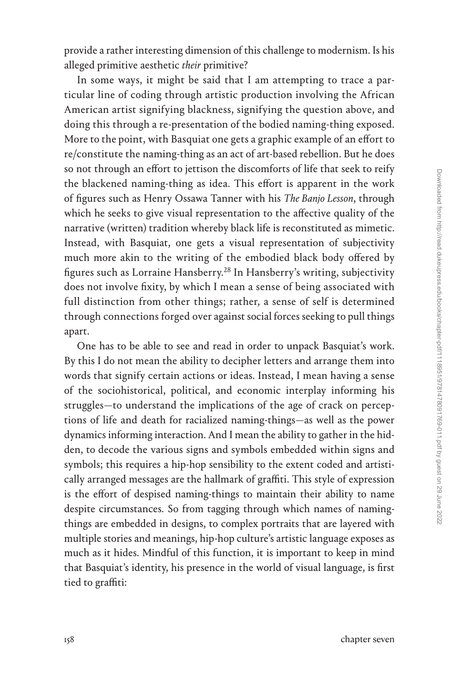provide a rather interesting dimension of this challenge to modernism. Is his alleged primitive aesthetic *their* primitive?

In some ways, it might be said that I am attempting to trace a particular line of coding through artistic production involving the African American artist signifying blackness, signifying the question above, and doing this through a re-presentation of the bodied naming-thing exposed. More to the point, with Basquiat one gets a graphic example of an effort to re/constitute the naming-thing as an act of art-based rebellion. But he does so not through an effort to jettison the discomforts of life that seek to reify the blackened naming-thing as idea. This effort is apparent in the work of figures such as Henry Ossawa Tanner with his *The Banjo Lesson*, through which he seeks to give visual representation to the affective quality of the narrative (written) tradition whereby black life is reconstituted as mimetic. Instead, with Basquiat, one gets a visual representation of subjectivity much more akin to the writing of the embodied black body offered by figures such as Lorraine Hansberry[.28](#page--1-0) In Hansberry's writing, subjectivity does not involve fixity, by which I mean a sense of being associated with full distinction from other things; rather, a sense of self is determined through connections forged over against social forces seeking to pull things apart.

One has to be able to see and read in order to unpack Basquiat's work. By this I do not mean the ability to decipher letters and arrange them into words that signify certain actions or ideas. Instead, I mean having a sense of the sociohistorical, political, and economic interplay informing his struggles—to understand the implications of the age of crack on perceptions of life and death for racialized naming-things—as well as the power dynamics informing interaction. And I mean the ability to gather in the hidden, to decode the various signs and symbols embedded within signs and symbols; this requires a hip-hop sensibility to the extent coded and artistically arranged messages are the hallmark of graffiti. This style of expression is the effort of despised naming-things to maintain their ability to name despite circumstances. So from tagging through which names of namingthings are embedded in designs, to complex portraits that are layered with multiple stories and meanings, hip-hop culture's artistic language exposes as much as it hides. Mindful of this function, it is important to keep in mind that Basquiat's identity, his presence in the world of visual language, is first tied to graffiti: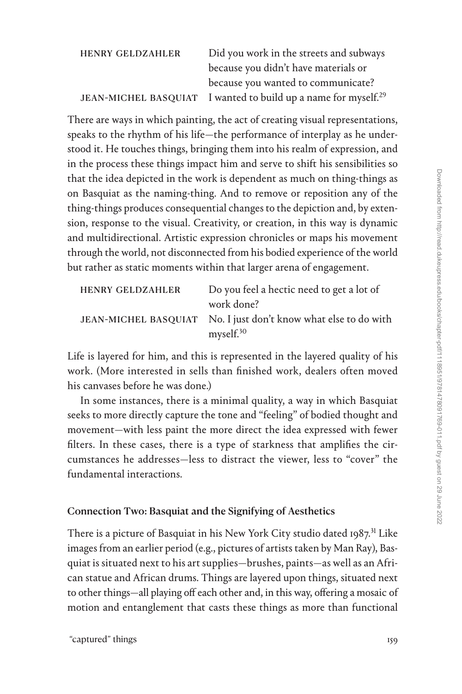| <b>HENRY GELDZAHLER</b> | Did you work in the streets and subways                                    |
|-------------------------|----------------------------------------------------------------------------|
|                         | because you didn't have materials or                                       |
|                         | because you wanted to communicate?                                         |
|                         | JEAN-MICHEL BASQUIAT I wanted to build up a name for myself. <sup>29</sup> |

There are ways in which painting, the act of creating visual representations, speaks to the rhythm of his life—the performance of interplay as he understood it. He touches things, bringing them into his realm of expression, and in the process these things impact him and serve to shift his sensibilities so that the idea depicted in the work is dependent as much on thing-things as on Basquiat as the naming-thing. And to remove or reposition any of the thing-things produces consequential changes to the depiction and, by extension, response to the visual. Creativity, or creation, in this way is dynamic and multidirectional. Artistic expression chronicles or maps his movement through the world, not disconnected from his bodied experience of the world but rather as static moments within that larger arena of engagement.

| <b>HENRY GELDZAHLER</b> | Do you feel a hectic need to get a lot of                       |
|-------------------------|-----------------------------------------------------------------|
|                         | work done?                                                      |
|                         | JEAN-MICHEL BASQUIAT No. I just don't know what else to do with |
|                         | myself. <sup>30</sup>                                           |

Life is layered for him, and this is represented in the layered quality of his work. (More interested in sells than finished work, dealers often moved his canvases before he was done.)

In some instances, there is a minimal quality, a way in which Basquiat seeks to more directly capture the tone and "feeling" of bodied thought and movement—with less paint the more direct the idea expressed with fewer filters. In these cases, there is a type of starkness that amplifies the circumstances he addresses—less to distract the viewer, less to "cover" the fundamental interactions.

## Connection Two: Basquiat and the Signifying of Aesthetics

There is a picture of Basquiat in his New York City studio dated 1987.<sup>31</sup> Like images from an earlier period (e.g., pictures of artists taken by Man Ray), Basquiat is situated next to his art supplies—brushes, paints—as well as an African statue and African drums. Things are layered upon things, situated next to other things—all playing off each other and, in this way, offering a mosaic of motion and entanglement that casts these things as more than functional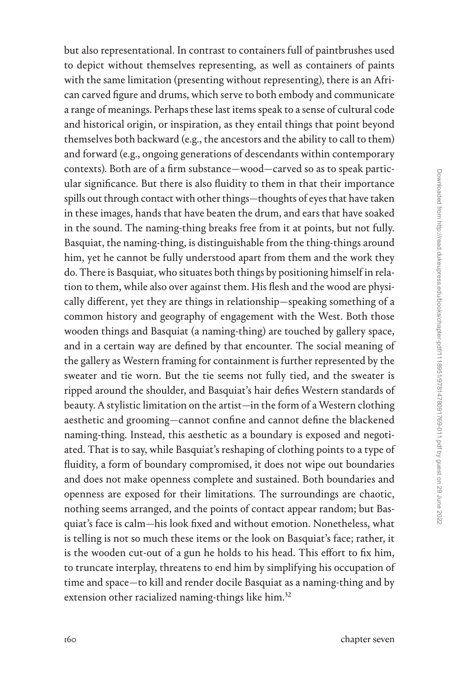but also representational. In contrast to containers full of paintbrushes used to depict without themselves representing, as well as containers of paints with the same limitation (presenting without representing), there is an African carved figure and drums, which serve to both embody and communicate a range of meanings. Perhaps these last items speak to a sense of cultural code and historical origin, or inspiration, as they entail things that point beyond themselves both backward (e.g., the ancestors and the ability to call to them) and forward (e.g., ongoing generations of descendants within contemporary contexts). Both are of a firm substance—wood—carved so as to speak particular significance. But there is also fluidity to them in that their importance spills out through contact with other things—thoughts of eyes that have taken in these images, hands that have beaten the drum, and ears that have soaked in the sound. The naming-thing breaks free from it at points, but not fully. Basquiat, the naming-thing, is distinguishable from the thing-things around him, yet he cannot be fully understood apart from them and the work they do. There is Basquiat, who situates both things by positioning himself in relation to them, while also over against them. His flesh and the wood are physically different, yet they are things in relationship—speaking something of a common history and geography of engagement with the West. Both those wooden things and Basquiat (a naming-thing) are touched by gallery space, and in a certain way are defined by that encounter. The social meaning of the gallery as Western framing for containment is further represented by the sweater and tie worn. But the tie seems not fully tied, and the sweater is ripped around the shoulder, and Basquiat's hair defies Western standards of beauty. A stylistic limitation on the artist—in the form of a Western clothing aesthetic and grooming—cannot confine and cannot define the blackened naming-thing. Instead, this aesthetic as a boundary is exposed and negotiated. That is to say, while Basquiat's reshaping of clothing points to a type of fluidity, a form of boundary compromised, it does not wipe out boundaries and does not make openness complete and sustained. Both boundaries and openness are exposed for their limitations. The surroundings are chaotic, nothing seems arranged, and the points of contact appear random; but Basquiat's face is calm—his look fixed and without emotion. Nonetheless, what is telling is not so much these items or the look on Basquiat's face; rather, it is the wooden cut-out of a gun he holds to his head. This effort to fix him, to truncate interplay, threatens to end him by simplifying his occupation of time and space—to kill and render docile Basquiat as a naming-thing and by extension other racialized naming-things like him.<sup>32</sup>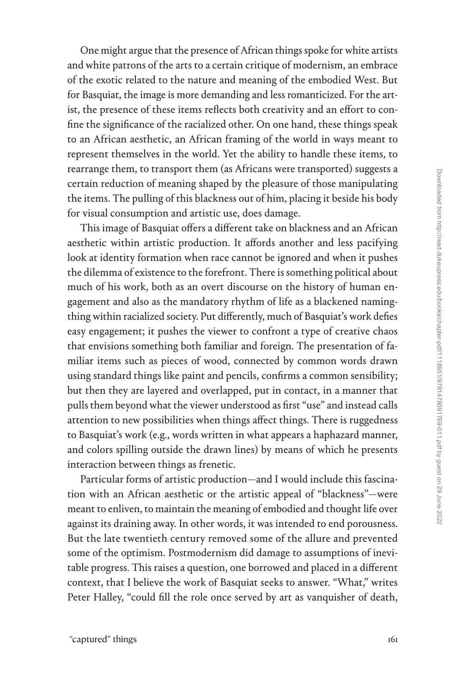One might argue that the presence of African things spoke for white artists and white patrons of the arts to a certain critique of modernism, an embrace of the exotic related to the nature and meaning of the embodied West. But for Basquiat, the image is more demanding and less romanticized. For the artist, the presence of these items reflects both creativity and an effort to confine the significance of the racialized other. On one hand, these things speak to an African aesthetic, an African framing of the world in ways meant to represent themselves in the world. Yet the ability to handle these items, to rearrange them, to transport them (as Africans were transported) suggests a certain reduction of meaning shaped by the pleasure of those manipulating the items. The pulling of this blackness out of him, placing it beside his body for visual consumption and artistic use, does damage.

This image of Basquiat offers a different take on blackness and an African aesthetic within artistic production. It affords another and less pacifying look at identity formation when race cannot be ignored and when it pushes the dilemma of existence to the forefront. There is something political about much of his work, both as an overt discourse on the history of human engagement and also as the mandatory rhythm of life as a blackened namingthing within racialized society. Put differently, much of Basquiat's work defies easy engagement; it pushes the viewer to confront a type of creative chaos that envisions something both familiar and foreign. The presentation of familiar items such as pieces of wood, connected by common words drawn using standard things like paint and pencils, confirms a common sensibility; but then they are layered and overlapped, put in contact, in a manner that pulls them beyond what the viewer understood as first "use" and instead calls attention to new possibilities when things affect things. There is ruggedness to Basquiat's work (e.g., words written in what appears a haphazard manner, and colors spilling outside the drawn lines) by means of which he presents interaction between things as frenetic.

Particular forms of artistic production—and I would include this fascination with an African aesthetic or the artistic appeal of "blackness"—were meant to enliven, to maintain the meaning of embodied and thought life over against its draining away. In other words, it was intended to end porousness. But the late twentieth century removed some of the allure and prevented some of the optimism. Postmodernism did damage to assumptions of inevitable progress. This raises a question, one borrowed and placed in a different context, that I believe the work of Basquiat seeks to answer. "What," writes Peter Halley, "could fill the role once served by art as vanquisher of death,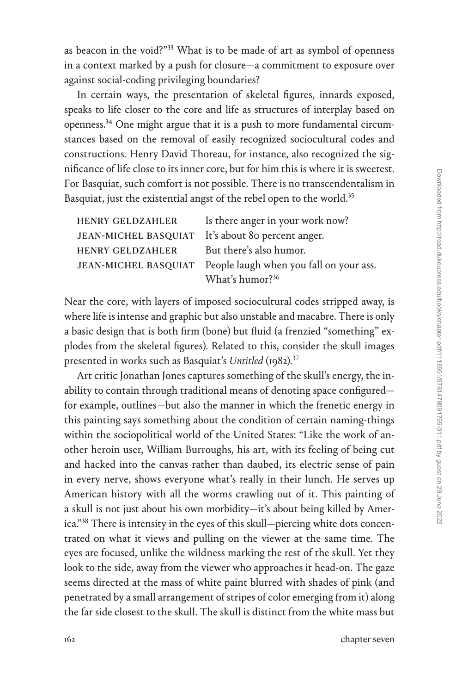as beacon in the void?"[33](#page--1-0) What is to be made of art as symbol of openness in a context marked by a push for closure—a commitment to exposure over against social-coding privileging boundaries?

In certain ways, the presentation of skeletal figures, innards exposed, speaks to life closer to the core and life as structures of interplay based on openness.[34](#page--1-0) One might argue that it is a push to more fundamental circumstances based on the removal of easily recognized sociocultural codes and constructions. Henry David Thoreau, for instance, also recognized the significance of life close to its inner core, but for him this is where it is sweetest. For Basquiat, such comfort is not possible. There is no transcendentalism in Basquiat, just the existential angst of the rebel open to the world.<sup>[35](#page--1-0)</sup>

| <b>HENRY GELDZAHLER</b>                           | Is there anger in your work now?                             |
|---------------------------------------------------|--------------------------------------------------------------|
| JEAN-MICHEL BASQUIAT It's about 80 percent anger. |                                                              |
| <b>HENRY GELDZAHLER</b>                           | But there's also humor.                                      |
|                                                   | JEAN-MICHEL BASQUIAT People laugh when you fall on your ass. |
|                                                   | What's humor? <sup>36</sup>                                  |

Near the core, with layers of imposed sociocultural codes stripped away, is where life is intense and graphic but also unstable and macabre. There is only a basic design that is both firm (bone) but fluid (a frenzied "something" explodes from the skeletal figures). Related to this, consider the skull images presented in works such as Basquiat's *Untitled* (1982).[37](#page--1-0)

Art critic Jonathan Jones captures something of the skull's energy, the inability to contain through traditional means of denoting space configured for example, outlines—but also the manner in which the frenetic energy in this painting says something about the condition of certain naming-things within the sociopolitical world of the United States: "Like the work of another heroin user, William Burroughs, his art, with its feeling of being cut and hacked into the canvas rather than daubed, its electric sense of pain in every nerve, shows everyone what's really in their lunch. He serves up American history with all the worms crawling out of it. This painting of a skull is not just about his own morbidity—it's about being killed by America."[38](#page--1-0) There is intensity in the eyes of this skull—piercing white dots concentrated on what it views and pulling on the viewer at the same time. The eyes are focused, unlike the wildness marking the rest of the skull. Yet they look to the side, away from the viewer who approaches it head-on. The gaze seems directed at the mass of white paint blurred with shades of pink (and penetrated by a small arrangement of stripes of color emerging from it) along the far side closest to the skull. The skull is distinct from the white mass but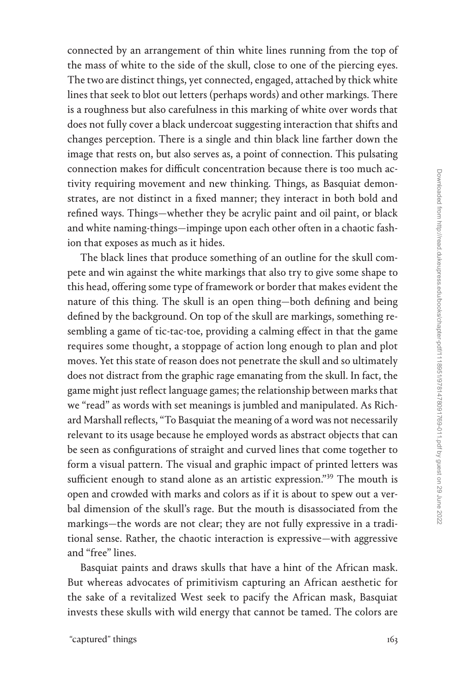connected by an arrangement of thin white lines running from the top of the mass of white to the side of the skull, close to one of the piercing eyes. The two are distinct things, yet connected, engaged, attached by thick white lines that seek to blot out letters (perhaps words) and other markings. There is a roughness but also carefulness in this marking of white over words that does not fully cover a black undercoat suggesting interaction that shifts and changes perception. There is a single and thin black line farther down the image that rests on, but also serves as, a point of connection. This pulsating connection makes for difficult concentration because there is too much activity requiring movement and new thinking. Things, as Basquiat demonstrates, are not distinct in a fixed manner; they interact in both bold and refined ways. Things—whether they be acrylic paint and oil paint, or black and white naming-things—impinge upon each other often in a chaotic fashion that exposes as much as it hides.

The black lines that produce something of an outline for the skull compete and win against the white markings that also try to give some shape to this head, offering some type of framework or border that makes evident the nature of this thing. The skull is an open thing—both defining and being defined by the background. On top of the skull are markings, something resembling a game of tic-tac-toe, providing a calming effect in that the game requires some thought, a stoppage of action long enough to plan and plot moves. Yet this state of reason does not penetrate the skull and so ultimately does not distract from the graphic rage emanating from the skull. In fact, the game might just reflect language games; the relationship between marks that we "read" as words with set meanings is jumbled and manipulated. As Richard Marshall reflects, "To Basquiat the meaning of a word was not necessarily relevant to its usage because he employed words as abstract objects that can be seen as configurations of straight and curved lines that come together to form a visual pattern. The visual and graphic impact of printed letters was sufficient enough to stand alone as an artistic expression."<sup>39</sup> The mouth is open and crowded with marks and colors as if it is about to spew out a verbal dimension of the skull's rage. But the mouth is disassociated from the markings—the words are not clear; they are not fully expressive in a traditional sense. Rather, the chaotic interaction is expressive—with aggressive and "free" lines.

Basquiat paints and draws skulls that have a hint of the African mask. But whereas advocates of primitivism capturing an African aesthetic for the sake of a revitalized West seek to pacify the African mask, Basquiat invests these skulls with wild energy that cannot be tamed. The colors are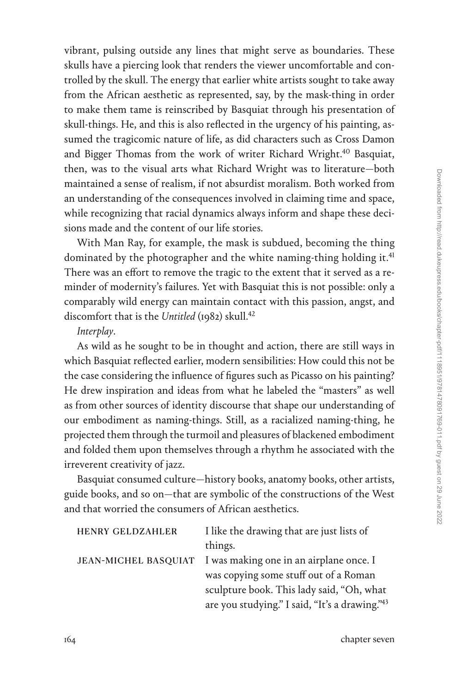vibrant, pulsing outside any lines that might serve as boundaries. These skulls have a piercing look that renders the viewer uncomfortable and controlled by the skull. The energy that earlier white artists sought to take away from the African aesthetic as represented, say, by the mask-thing in order to make them tame is reinscribed by Basquiat through his presentation of skull-things. He, and this is also reflected in the urgency of his painting, assumed the tragicomic nature of life, as did characters such as Cross Damon and Bigger Thomas from the work of writer Richard Wright.<sup>40</sup> Basquiat, then, was to the visual arts what Richard Wright was to literature—both maintained a sense of realism, if not absurdist moralism. Both worked from an understanding of the consequences involved in claiming time and space, while recognizing that racial dynamics always inform and shape these decisions made and the content of our life stories.

With Man Ray, for example, the mask is subdued, becoming the thing dominated by the photographer and the white naming-thing holding it.<sup>41</sup> There was an effort to remove the tragic to the extent that it served as a reminder of modernity's failures. Yet with Basquiat this is not possible: only a comparably wild energy can maintain contact with this passion, angst, and discomfort that is the *Untitled* (1982) skull.<sup>42</sup>

#### *Interplay*.

As wild as he sought to be in thought and action, there are still ways in which Basquiat reflected earlier, modern sensibilities: How could this not be the case considering the influence of figures such as Picasso on his painting? He drew inspiration and ideas from what he labeled the "masters" as well as from other sources of identity discourse that shape our understanding of our embodiment as naming-things. Still, as a racialized naming-thing, he projected them through the turmoil and pleasures of blackened embodiment and folded them upon themselves through a rhythm he associated with the irreverent creativity of jazz.

Basquiat consumed culture—history books, anatomy books, other artists, guide books, and so on—that are symbolic of the constructions of the West and that worried the consumers of African aesthetics.

| <b>HENRY GELDZAHLER</b> | I like the drawing that are just lists of      |
|-------------------------|------------------------------------------------|
|                         | things.                                        |
| JEAN-MICHEL BASQUIAT    | I was making one in an airplane once. I        |
|                         | was copying some stuff out of a Roman          |
|                         | sculpture book. This lady said, "Oh, what      |
|                         | are you studying." I said, "It's a drawing."43 |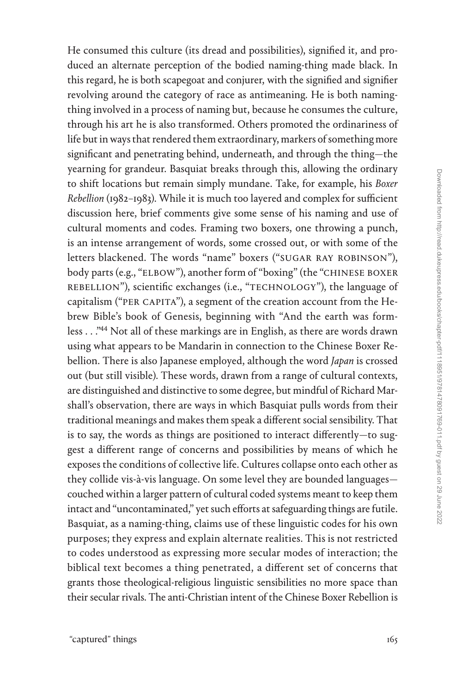He consumed this culture (its dread and possibilities), signified it, and produced an alternate perception of the bodied naming-thing made black. In this regard, he is both scapegoat and conjurer, with the signified and signifier revolving around the category of race as antimeaning. He is both namingthing involved in a process of naming but, because he consumes the culture, through his art he is also transformed. Others promoted the ordinariness of life but in ways that rendered them extraordinary, markers of something more significant and penetrating behind, underneath, and through the thing—the yearning for grandeur. Basquiat breaks through this, allowing the ordinary to shift locations but remain simply mundane. Take, for example, his *Boxer Rebellion* (1982–1983). While it is much too layered and complex for sufficient discussion here, brief comments give some sense of his naming and use of cultural moments and codes. Framing two boxers, one throwing a punch, is an intense arrangement of words, some crossed out, or with some of the letters blackened. The words "name" boxers ("SUGAR RAY ROBINSON"), body parts (e.g., "ELBOW"), another form of "boxing" (the "CHINESE BOXER REBELLION"), scientific exchanges (i.e., "TECHNOLOGY"), the language of capitalism ("PER CAPITA"), a segment of the creation account from the Hebrew Bible's book of Genesis, beginning with "And the earth was formless . . .["44](#page--1-0) Not all of these markings are in English, as there are words drawn using what appears to be Mandarin in connection to the Chinese Boxer Rebellion. There is also Japanese employed, although the word *Japan* is crossed out (but still visible). These words, drawn from a range of cultural contexts, are distinguished and distinctive to some degree, but mindful of Richard Marshall's observation, there are ways in which Basquiat pulls words from their traditional meanings and makes them speak a different social sensibility. That is to say, the words as things are positioned to interact differently—to suggest a different range of concerns and possibilities by means of which he exposes the conditions of collective life. Cultures collapse onto each other as they collide vis-à-vis language. On some level they are bounded languages couched within a larger pattern of cultural coded systems meant to keep them intact and "uncontaminated," yet such efforts at safeguarding things are futile. Basquiat, as a naming-thing, claims use of these linguistic codes for his own purposes; they express and explain alternate realities. This is not restricted to codes understood as expressing more secular modes of interaction; the biblical text becomes a thing penetrated, a different set of concerns that grants those theological-religious linguistic sensibilities no more space than their secular rivals. The anti-Christian intent of the Chinese Boxer Rebellion is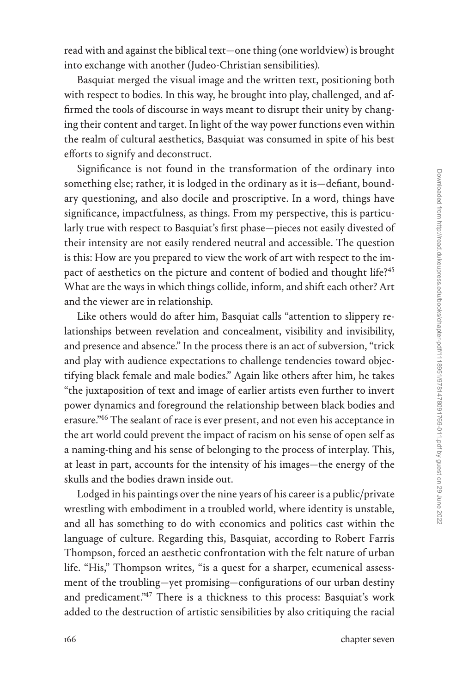read with and against the biblical text—one thing (one worldview) is brought into exchange with another (Judeo-Christian sensibilities).

Basquiat merged the visual image and the written text, positioning both with respect to bodies. In this way, he brought into play, challenged, and affirmed the tools of discourse in ways meant to disrupt their unity by changing their content and target. In light of the way power functions even within the realm of cultural aesthetics, Basquiat was consumed in spite of his best efforts to signify and deconstruct.

Significance is not found in the transformation of the ordinary into something else; rather, it is lodged in the ordinary as it is—defiant, boundary questioning, and also docile and proscriptive. In a word, things have significance, impactfulness, as things. From my perspective, this is particularly true with respect to Basquiat's first phase—pieces not easily divested of their intensity are not easily rendered neutral and accessible. The question is this: How are you prepared to view the work of art with respect to the im-pact of aesthetics on the picture and content of bodied and thought life?<sup>[45](#page--1-0)</sup> What are the ways in which things collide, inform, and shift each other? Art and the viewer are in relationship.

Like others would do after him, Basquiat calls "attention to slippery relationships between revelation and concealment, visibility and invisibility, and presence and absence." In the process there is an act of subversion, "trick and play with audience expectations to challenge tendencies toward objectifying black female and male bodies." Again like others after him, he takes "the juxtaposition of text and image of earlier artists even further to invert power dynamics and foreground the relationship between black bodies and erasure.["46](#page--1-0) The sealant of race is ever present, and not even his acceptance in the art world could prevent the impact of racism on his sense of open self as a naming-thing and his sense of belonging to the process of interplay. This, at least in part, accounts for the intensity of his images—the energy of the skulls and the bodies drawn inside out.

Lodged in his paintings over the nine years of his career is a public/private wrestling with embodiment in a troubled world, where identity is unstable, and all has something to do with economics and politics cast within the language of culture. Regarding this, Basquiat, according to Robert Farris Thompson, forced an aesthetic confrontation with the felt nature of urban life. "His," Thompson writes, "is a quest for a sharper, ecumenical assessment of the troubling—yet promising—configurations of our urban destiny and predicament."<sup>47</sup> There is a thickness to this process: Basquiat's work added to the destruction of artistic sensibilities by also critiquing the racial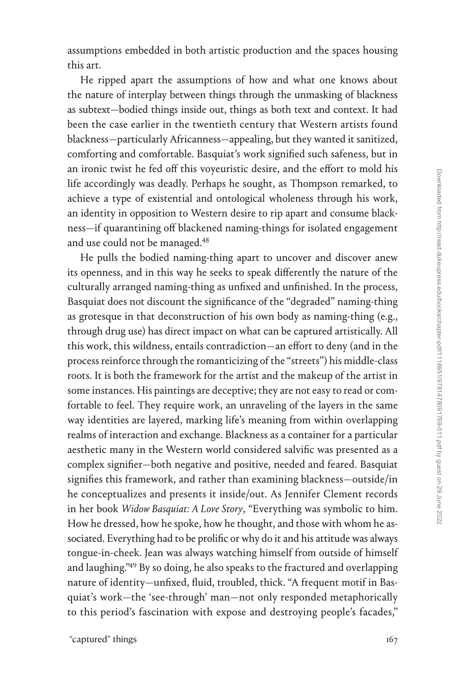assumptions embedded in both artistic production and the spaces housing this art.

He ripped apart the assumptions of how and what one knows about the nature of interplay between things through the unmasking of blackness as subtext—bodied things inside out, things as both text and context. It had been the case earlier in the twentieth century that Western artists found blackness—particularly Africanness—appealing, but they wanted it sanitized, comforting and comfortable. Basquiat's work signified such safeness, but in an ironic twist he fed off this voyeuristic desire, and the effort to mold his life accordingly was deadly. Perhaps he sought, as Thompson remarked, to achieve a type of existential and ontological wholeness through his work, an identity in opposition to Western desire to rip apart and consume blackness—if quarantining off blackened naming-things for isolated engagement and use could not be managed.<sup>48</sup>

He pulls the bodied naming-thing apart to uncover and discover anew its openness, and in this way he seeks to speak differently the nature of the culturally arranged naming-thing as unfixed and unfinished. In the process, Basquiat does not discount the significance of the "degraded" naming-thing as grotesque in that deconstruction of his own body as naming-thing (e.g., through drug use) has direct impact on what can be captured artistically. All this work, this wildness, entails contradiction—an effort to deny (and in the process reinforce through the romanticizing of the "streets") his middle-class roots. It is both the framework for the artist and the makeup of the artist in some instances. His paintings are deceptive; they are not easy to read or comfortable to feel. They require work, an unraveling of the layers in the same way identities are layered, marking life's meaning from within overlapping realms of interaction and exchange. Blackness as a container for a particular aesthetic many in the Western world considered salvific was presented as a complex signifier—both negative and positive, needed and feared. Basquiat signifies this framework, and rather than examining blackness—outside/in he conceptualizes and presents it inside/out. As Jennifer Clement records in her book *Widow Basquiat: A Love Story*, "Everything was symbolic to him. How he dressed, how he spoke, how he thought, and those with whom he associated. Everything had to be prolific or why do it and his attitude was always tongue-in-cheek. Jean was always watching himself from outside of himself and laughing.["49](#page--1-0) By so doing, he also speaks to the fractured and overlapping nature of identity—unfixed, fluid, troubled, thick. "A frequent motif in Basquiat's work—the 'see-through' man—not only responded metaphorically to this period's fascination with expose and destroying people's facades,"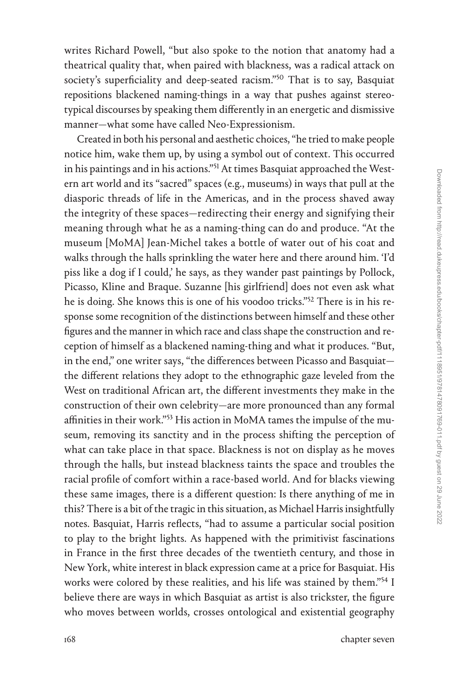writes Richard Powell, "but also spoke to the notion that anatomy had a theatrical quality that, when paired with blackness, was a radical attack on society's superficiality and deep-seated racism."<sup>50</sup> That is to say, Basquiat repositions blackened naming-things in a way that pushes against stereotypical discourses by speaking them differently in an energetic and dismissive manner—what some have called Neo-Expressionism.

Created in both his personal and aesthetic choices, "he tried to make people notice him, wake them up, by using a symbol out of context. This occurred in his paintings and in his actions."<sup>51</sup> At times Basquiat approached the Western art world and its "sacred" spaces (e.g., museums) in ways that pull at the diasporic threads of life in the Americas, and in the process shaved away the integrity of these spaces—redirecting their energy and signifying their meaning through what he as a naming-thing can do and produce. "At the museum [MoMA] Jean-Michel takes a bottle of water out of his coat and walks through the halls sprinkling the water here and there around him. 'I'd piss like a dog if I could,' he says, as they wander past paintings by Pollock, Picasso, Kline and Braque. Suzanne [his girlfriend] does not even ask what he is doing. She knows this is one of his voodoo tricks."[52](#page--1-0) There is in his response some recognition of the distinctions between himself and these other figures and the manner in which race and class shape the construction and reception of himself as a blackened naming-thing and what it produces. "But, in the end," one writer says, "the differences between Picasso and Basquiat the different relations they adopt to the ethnographic gaze leveled from the West on traditional African art, the different investments they make in the construction of their own celebrity—are more pronounced than any formal affinities in their work."[53](#page--1-0) His action in MoMA tames the impulse of the museum, removing its sanctity and in the process shifting the perception of what can take place in that space. Blackness is not on display as he moves through the halls, but instead blackness taints the space and troubles the racial profile of comfort within a race-based world. And for blacks viewing these same images, there is a different question: Is there anything of me in this? There is a bit of the tragic in this situation, as Michael Harris insightfully notes. Basquiat, Harris reflects, "had to assume a particular social position to play to the bright lights. As happened with the primitivist fascinations in France in the first three decades of the twentieth century, and those in New York, white interest in black expression came at a price for Basquiat. His works were colored by these realities, and his life was stained by them."<sup>54</sup> I believe there are ways in which Basquiat as artist is also trickster, the figure who moves between worlds, crosses ontological and existential geography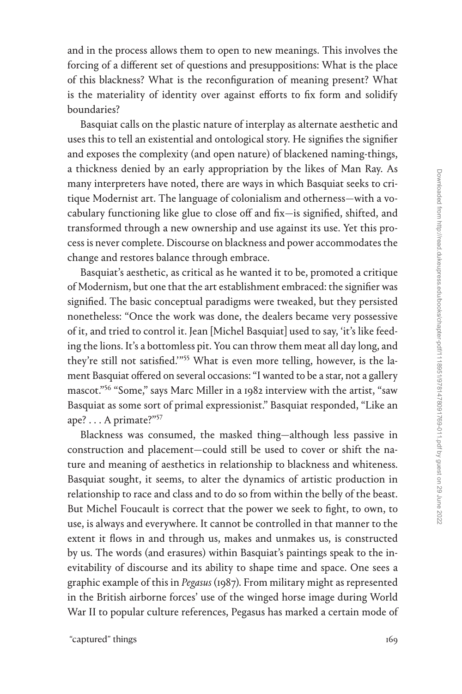and in the process allows them to open to new meanings. This involves the forcing of a different set of questions and presuppositions: What is the place of this blackness? What is the reconfiguration of meaning present? What is the materiality of identity over against efforts to fix form and solidify boundaries?

Basquiat calls on the plastic nature of interplay as alternate aesthetic and uses this to tell an existential and ontological story. He signifies the signifier and exposes the complexity (and open nature) of blackened naming-things, a thickness denied by an early appropriation by the likes of Man Ray. As many interpreters have noted, there are ways in which Basquiat seeks to critique Modernist art. The language of colonialism and otherness—with a vocabulary functioning like glue to close off and fix—is signified, shifted, and transformed through a new ownership and use against its use. Yet this process is never complete. Discourse on blackness and power accommodates the change and restores balance through embrace.

Basquiat's aesthetic, as critical as he wanted it to be, promoted a critique of Modernism, but one that the art establishment embraced: the signifier was signified. The basic conceptual paradigms were tweaked, but they persisted nonetheless: "Once the work was done, the dealers became very possessive of it, and tried to control it. Jean [Michel Basquiat] used to say, 'it's like feeding the lions. It's a bottomless pit. You can throw them meat all day long, and they're still not satisfied.'"[55](#page--1-0) What is even more telling, however, is the lament Basquiat offered on several occasions: "I wanted to be a star, not a gallery mascot."[56](#page--1-0) "Some," says Marc Miller in a 1982 interview with the artist, "saw Basquiat as some sort of primal expressionist." Basquiat responded, "Like an ape? . . . A primate?["57](#page--1-0)

Blackness was consumed, the masked thing—although less passive in construction and placement—could still be used to cover or shift the nature and meaning of aesthetics in relationship to blackness and whiteness. Basquiat sought, it seems, to alter the dynamics of artistic production in relationship to race and class and to do so from within the belly of the beast. But Michel Foucault is correct that the power we seek to fight, to own, to use, is always and everywhere. It cannot be controlled in that manner to the extent it flows in and through us, makes and unmakes us, is constructed by us. The words (and erasures) within Basquiat's paintings speak to the inevitability of discourse and its ability to shape time and space. One sees a graphic example of this in *Pegasus* (1987). From military might as represented in the British airborne forces' use of the winged horse image during World War II to popular culture references, Pegasus has marked a certain mode of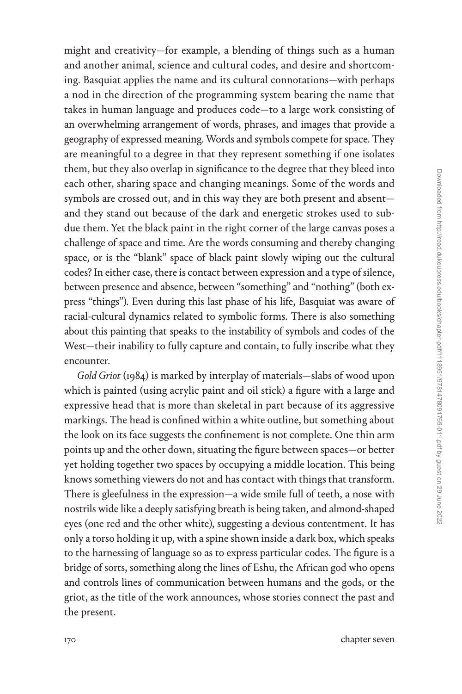might and creativity—for example, a blending of things such as a human and another animal, science and cultural codes, and desire and shortcoming. Basquiat applies the name and its cultural connotations—with perhaps a nod in the direction of the programming system bearing the name that takes in human language and produces code—to a large work consisting of an overwhelming arrangement of words, phrases, and images that provide a geography of expressed meaning. Words and symbols compete for space. They are meaningful to a degree in that they represent something if one isolates them, but they also overlap in significance to the degree that they bleed into each other, sharing space and changing meanings. Some of the words and symbols are crossed out, and in this way they are both present and absent and they stand out because of the dark and energetic strokes used to subdue them. Yet the black paint in the right corner of the large canvas poses a challenge of space and time. Are the words consuming and thereby changing space, or is the "blank" space of black paint slowly wiping out the cultural codes? In either case, there is contact between expression and a type of silence, between presence and absence, between "something" and "nothing" (both express "things"). Even during this last phase of his life, Basquiat was aware of racial-cultural dynamics related to symbolic forms. There is also something about this painting that speaks to the instability of symbols and codes of the West—their inability to fully capture and contain, to fully inscribe what they encounter.

*Gold Griot* (1984) is marked by interplay of materials—slabs of wood upon which is painted (using acrylic paint and oil stick) a figure with a large and expressive head that is more than skeletal in part because of its aggressive markings. The head is confined within a white outline, but something about the look on its face suggests the confinement is not complete. One thin arm points up and the other down, situating the figure between spaces—or better yet holding together two spaces by occupying a middle location. This being knows something viewers do not and has contact with things that transform. There is gleefulness in the expression—a wide smile full of teeth, a nose with nostrils wide like a deeply satisfying breath is being taken, and almond-shaped eyes (one red and the other white), suggesting a devious contentment. It has only a torso holding it up, with a spine shown inside a dark box, which speaks to the harnessing of language so as to express particular codes. The figure is a bridge of sorts, something along the lines of Eshu, the African god who opens and controls lines of communication between humans and the gods, or the griot, as the title of the work announces, whose stories connect the past and the present.